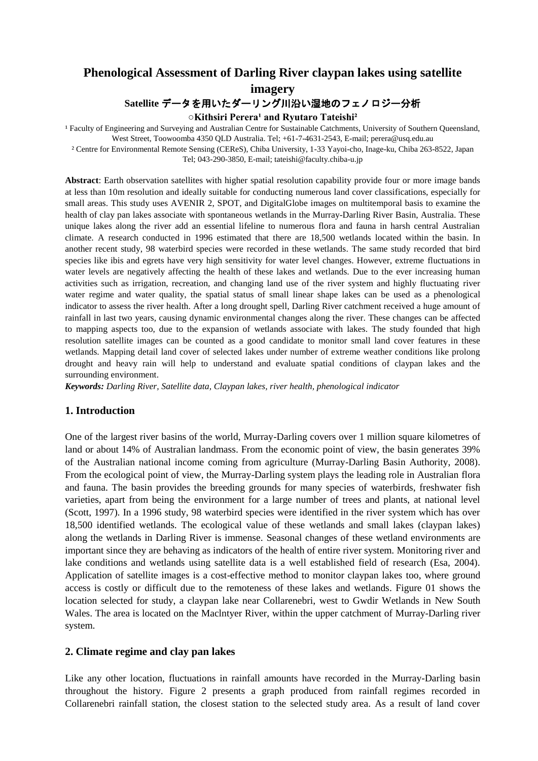# **Phenological Assessment of Darling River claypan lakes using satellite imagery Satellite** データを用いたダーリング川沿い湿地のフェノロジー分析

 $\circ$ Kithsiri Perera<sup>1</sup> and Ryutaro Tateishi<sup>2</sup>

<sup>1</sup> Faculty of Engineering and Surveying and Australian Centre for Sustainable Catchments, University of Southern Queensland, West Street, Toowoomba 4350 QLD Australia. Tel; +61-7-4631-2543, E-mail; perera@usq.edu.au

² Centre for Environmental Remote Sensing (CEReS), Chiba University, 1-33 Yayoi-cho, Inage-ku, Chiba 263-8522, Japan Tel; 043-290-3850, E-mail; tateishi@faculty.chiba-u.jp

**Abstract**: Earth observation satellites with higher spatial resolution capability provide four or more image bands at less than 10m resolution and ideally suitable for conducting numerous land cover classifications, especially for small areas. This study uses AVENIR 2, SPOT, and DigitalGlobe images on multitemporal basis to examine the health of clay pan lakes associate with spontaneous wetlands in the Murray-Darling River Basin, Australia. These unique lakes along the river add an essential lifeline to numerous flora and fauna in harsh central Australian climate. A research conducted in 1996 estimated that there are 18,500 wetlands located within the basin. In another recent study, 98 waterbird species were recorded in these wetlands. The same study recorded that bird species like ibis and egrets have very high sensitivity for water level changes. However, extreme fluctuations in water levels are negatively affecting the health of these lakes and wetlands. Due to the ever increasing human activities such as irrigation, recreation, and changing land use of the river system and highly fluctuating river water regime and water quality, the spatial status of small linear shape lakes can be used as a phenological indicator to assess the river health. After a long drought spell, Darling River catchment received a huge amount of rainfall in last two years, causing dynamic environmental changes along the river. These changes can be affected to mapping aspects too, due to the expansion of wetlands associate with lakes. The study founded that high resolution satellite images can be counted as a good candidate to monitor small land cover features in these wetlands. Mapping detail land cover of selected lakes under number of extreme weather conditions like prolong drought and heavy rain will help to understand and evaluate spatial conditions of claypan lakes and the surrounding environment.

*Keywords: Darling River, Satellite data, Claypan lakes, river health, phenological indicator*

### **1. Introduction**

One of the largest river basins of the world, Murray-Darling covers over 1 million square kilometres of land or about 14% of Australian landmass. From the economic point of view, the basin generates 39% of the Australian national income coming from agriculture (Murray-Darling Basin Authority, 2008). From the ecological point of view, the Murray-Darling system plays the leading role in Australian flora and fauna. The basin provides the breeding grounds for many species of waterbirds, freshwater fish varieties, apart from being the environment for a large number of trees and plants, at national level (Scott, 1997). In a 1996 study, 98 waterbird species were identified in the river system which has over 18,500 identified wetlands. The ecological value of these wetlands and small lakes (claypan lakes) along the wetlands in Darling River is immense. Seasonal changes of these wetland environments are important since they are behaving as indicators of the health of entire river system. Monitoring river and lake conditions and wetlands using satellite data is a well established field of research (Esa, 2004). Application of satellite images is a cost-effective method to monitor claypan lakes too, where ground access is costly or difficult due to the remoteness of these lakes and wetlands. Figure 01 shows the location selected for study, a claypan lake near Collarenebri, west to Gwdir Wetlands in New South Wales. The area is located on the Maclntyer River, within the upper catchment of Murray-Darling river system.

### **2. Climate regime and clay pan lakes**

Like any other location, fluctuations in rainfall amounts have recorded in the Murray-Darling basin throughout the history. Figure 2 presents a graph produced from rainfall regimes recorded in Collarenebri rainfall station, the closest station to the selected study area. As a result of land cover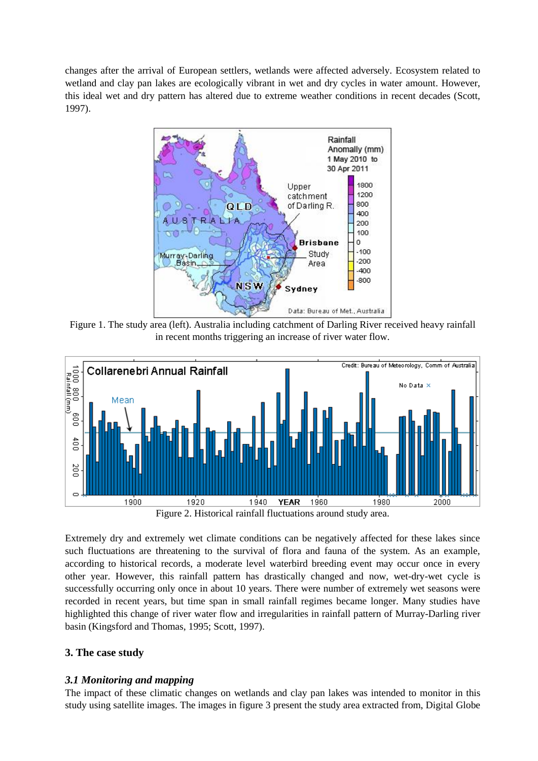changes after the arrival of European settlers, wetlands were affected adversely. Ecosystem related to wetland and clay pan lakes are ecologically vibrant in wet and dry cycles in water amount. However, this ideal wet and dry pattern has altered due to extreme weather conditions in recent decades (Scott, 1997).



Figure 1. The study area (left). Australia including catchment of Darling River received heavy rainfall in recent months triggering an increase of river water flow.





Extremely dry and extremely wet climate conditions can be negatively affected for these lakes since such fluctuations are threatening to the survival of flora and fauna of the system. As an example, according to historical records, a moderate level waterbird breeding event may occur once in every other year. However, this rainfall pattern has drastically changed and now, wet-dry-wet cycle is successfully occurring only once in about 10 years. There were number of extremely wet seasons were recorded in recent years, but time span in small rainfall regimes became longer. Many studies have highlighted this change of river water flow and irregularities in rainfall pattern of Murray-Darling river basin (Kingsford and Thomas, 1995; Scott, 1997).

### **3. The case study**

### *3.1 Monitoring and mapping*

The impact of these climatic changes on wetlands and clay pan lakes was intended to monitor in this study using satellite images. The images in figure 3 present the study area extracted from, Digital Globe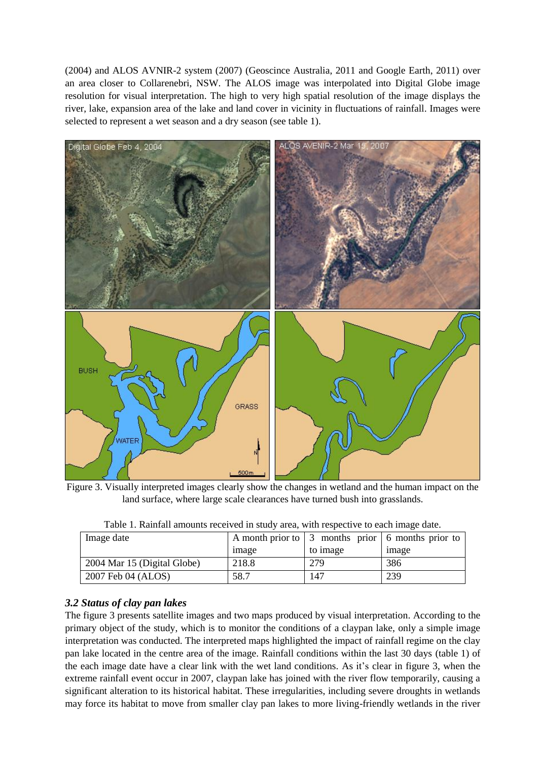(2004) and ALOS AVNIR-2 system (2007) (Geoscince Australia, 2011 and Google Earth, 2011) over an area closer to Collarenebri, NSW. The ALOS image was interpolated into Digital Globe image resolution for visual interpretation. The high to very high spatial resolution of the image displays the river, lake, expansion area of the lake and land cover in vicinity in fluctuations of rainfall. Images were selected to represent a wet season and a dry season (see table 1).



Figure 3. Visually interpreted images clearly show the changes in wetland and the human impact on the land surface, where large scale clearances have turned bush into grasslands.

| Image date                  |       |          | A month prior to $\vert 3 \vert$ months prior $\vert 6 \vert$ months prior to |  |  |
|-----------------------------|-------|----------|-------------------------------------------------------------------------------|--|--|
|                             | image | to image | image                                                                         |  |  |
| 2004 Mar 15 (Digital Globe) | 218.8 | 279      | 386                                                                           |  |  |
| 2007 Feb 04 (ALOS)          | 58.7  | 147      | 239                                                                           |  |  |

|  | Table 1. Rainfall amounts received in study area, with respective to each image date. |  |  |  |  |
|--|---------------------------------------------------------------------------------------|--|--|--|--|
|  |                                                                                       |  |  |  |  |

## *3.2 Status of clay pan lakes*

The figure 3 presents satellite images and two maps produced by visual interpretation. According to the primary object of the study, which is to monitor the conditions of a claypan lake, only a simple image interpretation was conducted. The interpreted maps highlighted the impact of rainfall regime on the clay pan lake located in the centre area of the image. Rainfall conditions within the last 30 days (table 1) of the each image date have a clear link with the wet land conditions. As it's clear in figure 3, when the extreme rainfall event occur in 2007, claypan lake has joined with the river flow temporarily, causing a significant alteration to its historical habitat. These irregularities, including severe droughts in wetlands may force its habitat to move from smaller clay pan lakes to more living-friendly wetlands in the river